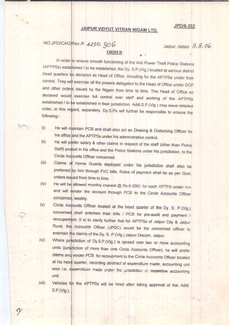#### JPD/6-202

### JAIPUR VIDYUT VITRAN NIGAM LTD.

# NO.JPD/CAO/Rev./F. 423/D. 906

Jaipur, dated 3.8.06

#### **ORDER**

In order to ensure smooth functioning of the Anti Power Theft Police Stations (APTPSs) established / to be established, the Dy. S.P.(Vig.) located at various district head quarters be declared as Head of Office, including for the APTPSs under their control. They will exercise all the powers delegated to the Head of Office under DOP and other orders issued by the Nigam from time to time. The Head of Office so declared would exercise full control over staff and working of the APTPSs established / to be established in their jurisdiction. Addl.S.P.(Vig.) may issue detailed order, in this regard, separately. Dy.S.Ps will further be responsible to ensure the following:-

- He will maintain PCB and shall also act as Drawing & Disbursing Officer for  $(i)$ his office and the APTPSs under his administrative control.
- He will prefer salary & other claims in respect of the staff (other than Police  $(ii)$ Staff) posted in his office and the Police Stations under his jurisdiction, to the Circle Accounts Officer concerned.
- $(iii)$ Claims of Home Guards deployed under his jurisdiction shall also be preferred by him through FVC bills. Rates of payment shall be as per Govt. orders issued from time to time.
- He will be allowed monthly imprest @ Rs.6,000/- for each APTPS under him  $(iv)$ and will render the account through PCB to the Circle Accounts Officer concerned, weekly.
- Circle Accounts Officer located at the head quarter of the Dy. S. P.(Vig.)  $(v)$ concerned shall entertain their bills / PCB for pre-audit and payment / recoupement. It is to clarify further that for APTPSs of Jaipur City & Jaipur Rural, the Accounts Officer (JPDC) would be the concerned officer to entertain the claims of the Dy. S. P.(Vig.), Jaipur Discom, Jaipur.
- Where jurisdiction of Dy.S.P.(Vig.) is spread over two or more accounting  $(vi)$ units (jurisdiction of more than one Circle Accounts Officer), he will prefer claims and render PCB for recoupment to the Circle Accounts Officer located at his head quarter, recording abstract of expenditure made, accounting unit wise i.e. expenditure made under the jurisdiction of respective accounting unit.
- Vehicles for the APTPSs will be hired after taking approval of the Addl.  $(vii)$ S.P.(Vig.).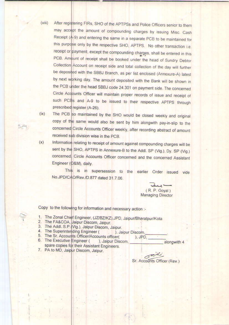- After registering FIRs, SHO of the APTPSs and Police Officers senior to them  $(viii)$ may accept the amount of compounding charges by issuing Misc. Cash Receipt (A-9) and entering the same in a separate PCB to be maintained for this purpose only by the respective SHO, APTPS. No other transaction i.e. receipt or payment, except the compounding charges, shall be entered in this PCB. Amount of receipt shall be booked under the head of Sundry Debtor Collection Account on receipt side and total collection of the day will further be deposited with the SBBJ Branch, as per list enclosed (Annexure-A) latest by next wprking day. The amount deposited with the Bank will be shown in the PCB under the head SBBJ code 24.301 on payment side. The concerned Circle Accounts Officer will maintain proper records of issue and receipt of such PCBs and A-9 to be issued to their respective APTPS through prescribed register (A-26).
	- The PCB so maintained by the SHO would be closed weekly and original copy of the same would also be sent by him alongwith pay-in-slip to the concerned Circle Accounts Officer weekly, after recording abstract of amount received sub division wise in the PCB.
- Information relating to receipt of amount against compounding charges will be  $(x)$ sent by the SHO, APTPS in Annexure-B to the Addl. SP (Vig.), Dy. SP (Vig.) concerned Circle Accounts Officer concerned and the concerned Assistant Engineer (O&M), daily.

This is in supersession to the earlier Order issued vide No.JPD/CAO/Rev./D.877 dated 31.7.06.

 $(R, P, Goyal)$ **Managing Director** 

Copy to the following for information and necessary action :-

- 1. The Zonal Chief Engineer, (JZ/BZ/KZ), JPD, Jaipur/Bharatpur/Kota
- 2. The FA&COA, Jaipur Discom, Jaipur.

 $(ix)$ 

- 3. The Addl. S.P. (Vig.), Jaipur Discom, Jaipur.
- 4. The Superintending Engineer ( ), Jaipur Discom,
- 5. The Sr. Accounts Officer/Accounts officer(
- 6. The Executive Engineer ( ), Jaipur Discom. alongwith 4 spare copies for their Assistant Engineers. 7. PA to MD, Jaipur Discom, Jaipur.

 $\sigma$ Sr. Accounts Officer (Rev.)

), JPD.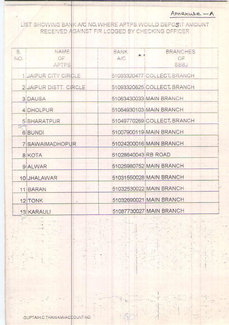Annexure - A

LIST SHOWING BANK A/C NO. WHERE APTPS WOULD DEPOSIT AMOUNT RECEIVED AGAINST FIR LODGED BY CHECKING OFFICER

| S.<br>NO. | NAME<br>OF<br><b>APTPS</b>    | BANK<br>■ 2<br>A/C  | <b>BRANCHES</b><br>OF<br><b>SBBJ</b> |
|-----------|-------------------------------|---------------------|--------------------------------------|
|           | 1 JAIPUR CITY CIRCLE          |                     | 51093320477 COLLECT, BRANCH          |
|           | <b>2 JAIPUR DISTT. CIRCLE</b> |                     | 51093320625 COLLECT. BRANCH          |
|           | <b>3 DAUSA</b>                |                     | 51063430033 MAIN BRANCH              |
|           | 4 DHOLPUR                     |                     | 51064930103 MAIN BRANCH              |
|           | <b>5 BHARATPUR</b>            |                     | 51049770269 COLLECT. BRANCH          |
|           | 6 BUNDI                       |                     | 51007900119 MAIN BRANCH              |
|           | 7 SAWAIMADHOPUR               |                     | 51024200016 MAIN BRANCH              |
|           | 8 KOTA                        | 51028640043 RB ROAD |                                      |
|           | 9 ALWAR                       |                     | 51025980752 MAIN BRANCH              |
|           | 10 JHALAWAR                   |                     | 51031550028 MAIN BRANCH              |
|           | 11 BARAN                      |                     | 51032530022 MAIN BRANCH              |
|           | 12 TONK                       |                     | 51032690021 MAIN BRANCH              |
|           | 13 KARAULI                    |                     | 51087730027 MAIN BRANCH              |